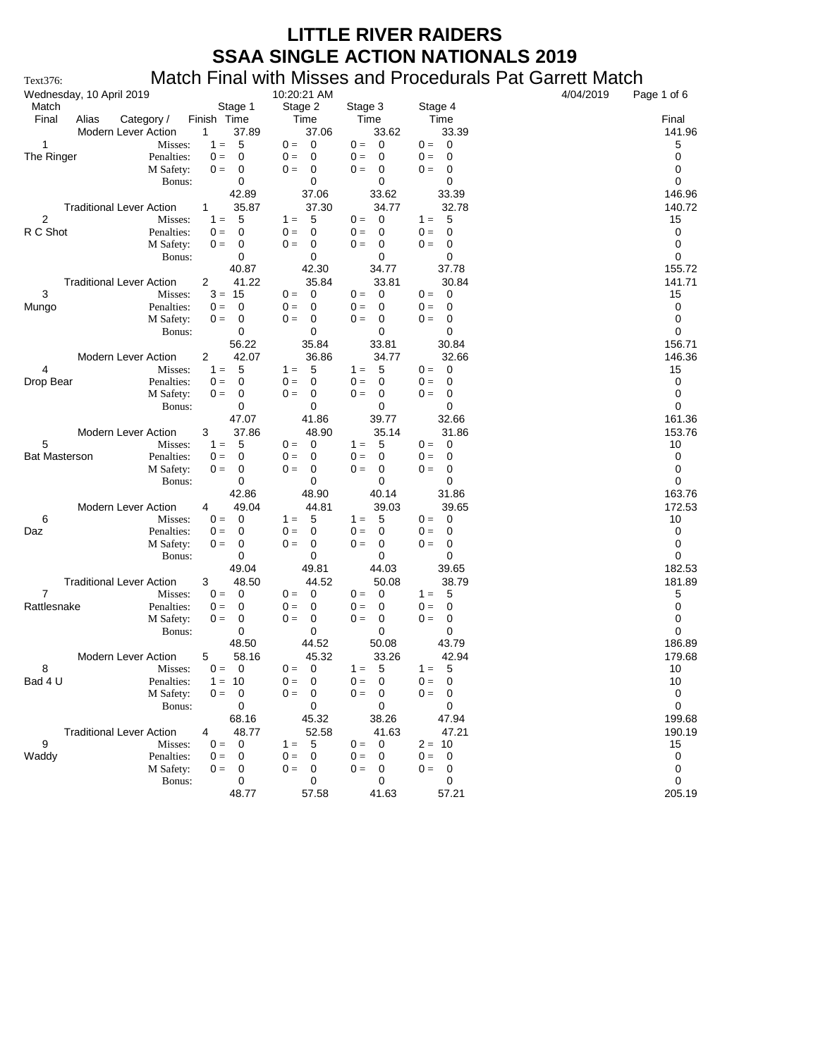| Wednesday, 10 April 2019                   |                          | 10:20:21 AM                                     |                                                |                                    | 4/04/2019 | Page 1 of 6           |
|--------------------------------------------|--------------------------|-------------------------------------------------|------------------------------------------------|------------------------------------|-----------|-----------------------|
| Match                                      | Stage 1                  | Stage 2                                         | Stage 3                                        | Stage 4                            |           |                       |
| Final<br>Alias<br>Category /               | Finish Time              | Time                                            | Time                                           | Time                               |           | Final                 |
| <b>Modern Lever Action</b><br>$\mathbf{1}$ | 37.89                    | 37.06                                           | 33.62                                          | 33.39                              |           | 141.96                |
| 1<br>Misses:                               | 5<br>$1 =$               | $0 = 0$                                         | $\overline{\phantom{0}}$<br>$0 =$              | $0 = 0$                            |           | 5                     |
| The Ringer<br>Penalties:                   | $0 =$<br>0<br>$0 =$<br>0 | $0 =$<br>$\mathbf 0$<br>$0 =$<br>$\overline{0}$ | $0 =$<br>$\overline{\mathbf{0}}$<br>$0 =$<br>0 | $0 =$<br>0<br>$0 =$<br>0           |           | 0<br>0                |
| M Safety:<br>Bonus:                        | 0                        | 0                                               | 0                                              | 0                                  |           | 0                     |
|                                            | 42.89                    | 37.06                                           | 33.62                                          | 33.39                              |           | 146.96                |
| <b>Traditional Lever Action</b><br>1       | 35.87                    | 37.30                                           | 34.77                                          | 32.78                              |           | 140.72                |
| $\overline{2}$<br>Misses:                  | 5<br>$1 =$               | 5<br>$1 =$                                      | 0<br>$0 =$                                     | 5<br>$1 =$                         |           | 15                    |
| R C Shot<br>Penalties:                     | $0 =$<br>0               | $0 =$<br>0                                      | $0 =$<br>0                                     | $0 =$<br>0                         |           | 0                     |
| M Safety:                                  | $0 =$<br>0               | $0 =$<br>0                                      | $0 =$<br>0                                     | $\mathbf 0$<br>$0 =$               |           | 0                     |
| Bonus:                                     | 0                        | 0                                               | 0                                              | 0                                  |           | 0                     |
|                                            | 40.87                    | 42.30                                           | 34.77                                          | 37.78                              |           | 155.72                |
| <b>Traditional Lever Action</b><br>2       | 41.22                    | 35.84                                           | 33.81                                          | 30.84                              |           | 141.71                |
| 3<br>Misses:                               | $3 = 15$                 | $0 =$<br>$\overline{0}$                         | $0 =$<br>0                                     | $0 =$<br>$\overline{0}$            |           | 15                    |
| Penalties:<br>Mungo                        | $\mathbf 0$<br>$0 =$     | 0<br>$0 =$                                      | 0<br>$0 =$                                     | 0<br>$0 =$                         |           | 0                     |
| M Safety:                                  | $0 =$<br>0               | 0<br>$0 =$                                      | $\mathbf 0$<br>$0 =$                           | $0 =$<br>0                         |           | 0                     |
| Bonus:                                     | 0                        | 0                                               | 0                                              | 0                                  |           | 0                     |
|                                            | 56.22<br>42.07           | 35.84                                           | 33.81                                          | 30.84<br>32.66                     |           | 156.71                |
| Modern Lever Action<br>2<br>4<br>Misses:   | 5<br>$1 =$               | 36.86<br>- 5<br>$1 =$                           | 34.77<br>-5<br>$1 =$                           | $0 = 0$                            |           | 146.36<br>15          |
| Drop Bear<br>Penalties:                    | $0 =$<br>0               | $0 =$<br>0                                      | 0<br>$0 =$                                     | $0 =$<br>0                         |           | 0                     |
| M Safety:                                  | $0 =$<br>0               | 0<br>$0 =$                                      | 0<br>$0 =$                                     | $\mathbf 0$<br>$0 =$               |           | 0                     |
| Bonus:                                     | 0                        | 0                                               | 0                                              | 0                                  |           | 0                     |
|                                            | 47.07                    | 41.86                                           | 39.77                                          | 32.66                              |           | 161.36                |
| Modern Lever Action<br>3                   | 37.86                    | 48.90                                           | 35.14                                          | 31.86                              |           | 153.76                |
| 5<br>Misses:                               | 5<br>$1 =$               | $\overline{0}$<br>$0 =$                         | 5<br>$1 =$                                     | $0 = 0$                            |           | 10                    |
| <b>Bat Masterson</b><br>Penalties:         | $0 =$<br>0               | $0 =$<br>0                                      | $0 =$<br>0                                     | $0 =$<br>- 0                       |           | 0                     |
| M Safety:                                  | $0 =$<br>0               | 0<br>$0 =$                                      | 0<br>$0 =$                                     | 0<br>$0 =$                         |           | 0                     |
| Bonus:                                     | 0                        | 0                                               | 0                                              | 0                                  |           | 0                     |
|                                            | 42.86                    | 48.90                                           | 40.14                                          | 31.86                              |           | 163.76                |
| <b>Modern Lever Action</b><br>4            | 49.04                    | 44.81                                           | 39.03                                          | 39.65                              |           | 172.53                |
| 6<br>Misses:                               | $\mathbf 0$<br>$0 =$     | 5<br>$1 =$                                      | 5<br>$1 =$                                     | $0 =$<br>0                         |           | 10                    |
| Penalties:<br>Daz                          | 0<br>$0 =$<br>$0 =$<br>0 | 0<br>$0 =$<br>$0 =$<br>0                        | 0<br>$0 =$<br>0<br>$0 =$                       | 0<br>$0 =$<br>$\mathbf 0$<br>$0 =$ |           | 0<br>0                |
| M Safety:<br>Bonus:                        | 0                        | 0                                               | 0                                              | 0                                  |           | 0                     |
|                                            | 49.04                    | 49.81                                           | 44.03                                          | 39.65                              |           | 182.53                |
| <b>Traditional Lever Action</b><br>3       | 48.50                    | 44.52                                           | 50.08                                          | 38.79                              |           | 181.89                |
| $\overline{7}$<br>Misses:                  | $\mathbf 0$<br>$0 =$     | $0 = 0$                                         | $\overline{0}$<br>$0 =$                        | $1 =$<br>-5                        |           | 5                     |
| Rattlesnake<br>Penalties:                  | $0 =$<br>0               | $0 =$<br>0                                      | $0 =$<br>0                                     | $0 =$<br>0                         |           | 0                     |
| M Safety:                                  | 0<br>$0 =$               | $0 =$<br>0                                      | 0<br>$0 =$                                     | 0<br>$0 =$                         |           | 0                     |
| Bonus:                                     | 0                        | 0                                               | 0                                              | 0                                  |           | 0                     |
|                                            | 48.50                    | 44.52                                           | 50.08                                          | 43.79                              |           | 186.89                |
| Modern Lever Action<br>5                   | 58.16                    | 45.32                                           | 33.26                                          | 42.94                              |           | 179.68                |
| 8<br>Misses:                               | 0<br>$0 =$               | $\overline{\mathbf{0}}$<br>$0 =$                | 5<br>$1 =$                                     | - 5<br>$1 =$                       |           | 10                    |
| Bad 4 U<br>Penalties:                      | $1 = 10$                 | $0 =$<br>0                                      | 0<br>$0 =$                                     | 0<br>$0 =$                         |           | 10                    |
| M Safety:                                  | $0 = 0$                  | $0 = 0$                                         | $0 = 0$                                        | $0 = 0$                            |           | $\mathsf 0$           |
| Bonus:                                     | 0<br>68.16               | 0<br>45.32                                      | 0<br>38.26                                     | 0<br>47.94                         |           | $\mathbf 0$<br>199.68 |
| <b>Traditional Lever Action</b>            | 48.77                    | 52.58                                           | 41.63                                          | 47.21                              |           | 190.19                |
| 9<br>Misses:                               | 0<br>$0 =$               | 5<br>$1 =$                                      | $0 = 0$                                        | $2 = 10$                           |           | 15                    |
| Waddy<br>Penalties:                        | $0 =$<br>0               | $0 =$<br>0                                      | $0 =$<br>$\overline{\mathbf{0}}$               | $0 = 0$                            |           | 0                     |
| M Safety:                                  | $0 =$<br>0               | $0 =$<br>0                                      | $0 =$<br>0                                     | $0 =$<br>$\overline{0}$            |           | $\mathbf 0$           |
| Bonus:                                     | 0                        | 0                                               | 0                                              | 0                                  |           | 0                     |
|                                            | 48.77                    | 57.58                                           | 41.63                                          | 57.21                              |           | 205.19                |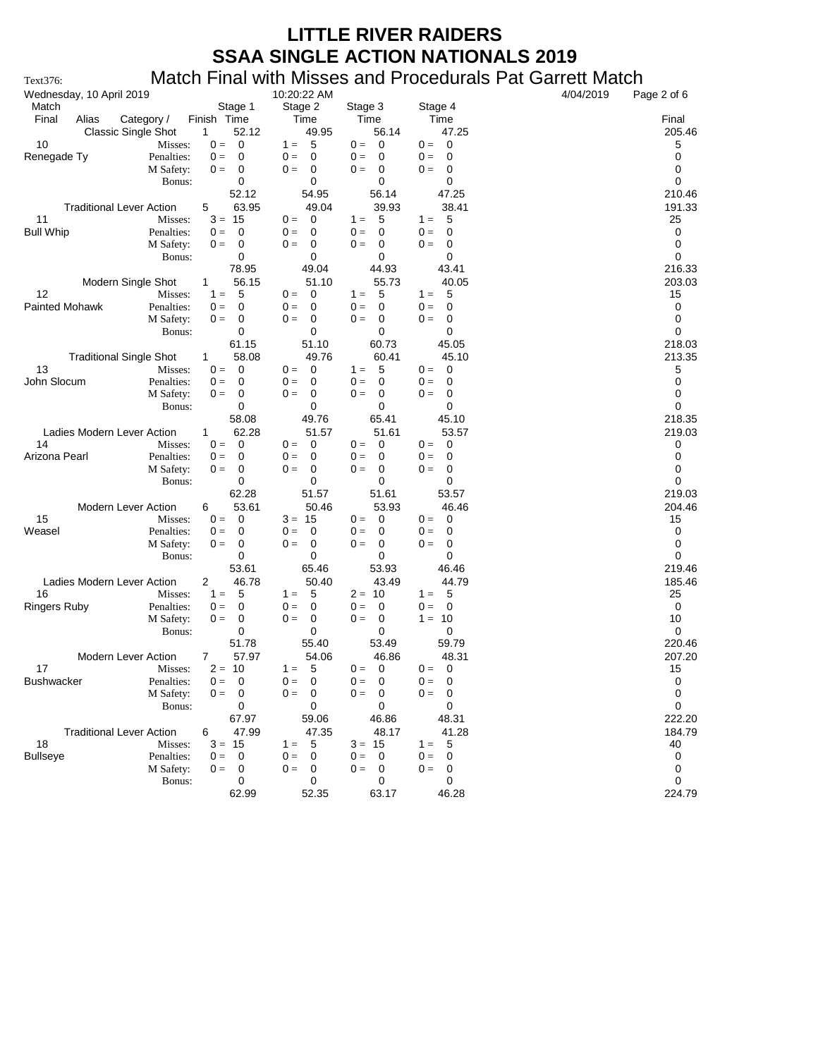| Wednesday, 10 April 2019        |                       |                       | 10:20:22 AM                           |                                   |                                   | 4/04/2019<br>Page 2 of 6 |
|---------------------------------|-----------------------|-----------------------|---------------------------------------|-----------------------------------|-----------------------------------|--------------------------|
| Match                           |                       | Stage 1               | Stage 2                               | Stage 3                           | Stage 4                           |                          |
| Final<br>Alias                  | Category /            | Finish Time           | Time                                  | Time                              | Time                              | Final                    |
| <b>Classic Single Shot</b>      |                       | 52.12<br>$\mathbf{1}$ | 49.95                                 | 56.14                             | 47.25                             | 205.46                   |
| 10                              | Misses:               | 0<br>$0 =$            | $1 = 5$                               | $0 =$<br>$\overline{\mathbf{0}}$  | $0 = 0$                           | 5                        |
| Renegade Ty                     | Penalties:            | $0 =$<br>0            | $0 =$<br>- 0                          | $0 =$<br>0                        | $0 =$<br>0                        | 0                        |
|                                 | M Safety:<br>Bonus:   | $0 =$<br>0<br>0       | $0 =$<br>$\overline{\mathbf{0}}$<br>0 | $0 =$<br>0<br>0                   | $0 =$<br>0<br>0                   | 0<br>0                   |
|                                 |                       | 52.12                 | 54.95                                 | 56.14                             | 47.25                             | 210.46                   |
| <b>Traditional Lever Action</b> |                       | 63.95<br>5            | 49.04                                 | 39.93                             | 38.41                             | 191.33                   |
| 11                              | Misses:               | $3 = 15$              | $0 =$<br>- 0                          | 5<br>$1 =$                        | $1 =$<br>-5                       | 25                       |
| <b>Bull Whip</b>                | Penalties:            | 0<br>$0 =$            | $0 =$<br>0                            | $0 =$<br>0                        | 0<br>$0 =$                        | 0                        |
|                                 | M Safety:             | $0 =$<br>0            | $0 =$<br>0                            | 0<br>$0 =$                        | $0 =$<br>0                        | 0                        |
|                                 | Bonus:                | 0                     | 0                                     | 0                                 | 0                                 | 0                        |
|                                 |                       | 78.95                 | 49.04                                 | 44.93                             | 43.41                             | 216.33                   |
| Modern Single Shot              |                       | 56.15<br>$\mathbf{1}$ | 51.10                                 | 55.73                             | 40.05                             | 203.03                   |
| 12                              | Misses:               | 5<br>$1 =$            | $0 =$<br>$\overline{\mathbf{0}}$      | 5<br>$1 =$                        | - 5<br>$1 =$                      | 15                       |
| <b>Painted Mohawk</b>           | Penalties:            | $0 =$<br>0            | 0<br>$0 =$                            | 0<br>$0 =$                        | 0<br>$0 =$                        | 0                        |
|                                 | M Safety:             | 0<br>$0 =$            | $0 =$<br>$\overline{\mathbf{0}}$      | $0 =$<br>0                        | $0 =$<br>0                        | 0                        |
|                                 | Bonus:                | 0                     | 0                                     | 0                                 | 0                                 | 0                        |
|                                 |                       | 61.15                 | 51.10                                 | 60.73                             | 45.05                             | 218.03                   |
| <b>Traditional Single Shot</b>  |                       | 58.08<br>$\mathbf{1}$ | 49.76                                 | 60.41                             | 45.10                             | 213.35                   |
| 13                              | Misses:               | 0<br>$0 =$            | $0 = 0$                               | 5<br>$1 =$                        | $0 = 0$                           | 5                        |
| John Slocum                     | Penalties:            | $0 =$<br>0            | $0 =$<br>0                            | $0 =$<br>0                        | $0 =$<br>0                        | 0                        |
|                                 | M Safety:             | 0<br>$0 =$            | $\mathbf 0$<br>$0 =$                  | $0 =$<br>0                        | $0 =$<br>0                        | 0                        |
|                                 | Bonus:                | 0                     | 0                                     | 0                                 | 0                                 | 0                        |
|                                 |                       | 58.08                 | 49.76                                 | 65.41                             | 45.10                             | 218.35                   |
| Ladies Modern Lever Action      |                       | 62.28<br>1            | 51.57                                 | 51.61                             | 53.57                             | 219.03                   |
| 14<br>Arizona Pearl             | Misses:<br>Penalties: | 0<br>$0 =$<br>0       | $\mathbf 0$<br>$0 =$<br>0             | $0 =$<br>$\mathbf 0$<br>0         | $0 = 0$<br>0                      | 0<br>0                   |
|                                 | M Safety:             | $0 =$<br>$0 =$<br>0   | $0 =$<br>$0 =$<br>0                   | $0 =$<br>0<br>$0 =$               | $0 =$<br>$0 =$<br>0               | 0                        |
|                                 | Bonus:                | 0                     | 0                                     | 0                                 | 0                                 | 0                        |
|                                 |                       | 62.28                 | 51.57                                 | 51.61                             | 53.57                             | 219.03                   |
| Modern Lever Action             |                       | 53.61<br>6            | 50.46                                 | 53.93                             | 46.46                             | 204.46                   |
| 15                              | Misses:               | 0<br>$0 =$            | $3 = 15$                              | $\mathbf 0$<br>$0 =$              | $\overline{\phantom{0}}$<br>$0 =$ | 15                       |
| Weasel                          | Penalties:            | $0 =$<br>0            | $0 =$<br>- 0                          | $0 =$<br>0                        | $0 =$<br>0                        | 0                        |
|                                 | M Safety:             | 0<br>$0 =$            | $0 =$<br>$\overline{\phantom{0}}$     | $0 =$<br>0                        | $0 =$<br>0                        | 0                        |
|                                 | Bonus:                | 0                     | 0                                     | 0                                 | 0                                 | 0                        |
|                                 |                       | 53.61                 | 65.46                                 | 53.93                             | 46.46                             | 219.46                   |
| Ladies Modern Lever Action      |                       | 46.78<br>2            | 50.40                                 | 43.49                             | 44.79                             | 185.46                   |
| 16                              | Misses:               | 5<br>$1 =$            | - 5<br>$1 =$                          | $2 = 10$                          | $1 = 5$                           | 25                       |
| <b>Ringers Ruby</b>             | Penalties:            | 0<br>$0 =$            | $0 =$<br>0                            | $0 =$<br>$\overline{0}$           | 0<br>$0 =$                        | 0                        |
|                                 | M Safety:             | 0<br>$0 =$            | $\mathbf 0$<br>$0 =$                  | 0<br>$0 =$                        | $1 = 10$                          | 10                       |
|                                 | Bonus:                | 0                     | 0                                     | 0                                 | 0                                 | 0                        |
|                                 |                       | 51.78                 | 55.40                                 | 53.49                             | 59.79                             | 220.46                   |
| Modern Lever Action             |                       | 57.97<br>7            | 54.06                                 | 46.86                             | 48.31                             | 207.20                   |
| 17                              | Misses:               | $2 = 10$              | $1 = 5$                               | $0 = 0$                           | $0 = 0$                           | 15                       |
| <b>Bushwacker</b>               | Penalties:            | $0 = 0$               | $0 = 0$                               | $0 = 0$                           | $0 = 0$                           | 0                        |
|                                 | M Safety:             | $0 = 0$               | $0 = 0$                               | $0 =$<br>$\overline{\phantom{0}}$ | $0 = 0$                           | 0                        |
|                                 | Bonus:                | 0<br>67.97            | 0<br>59.06                            | 0<br>46.86                        | 0<br>48.31                        | 0<br>222.20              |
| <b>Traditional Lever Action</b> |                       | 47.99                 | 47.35                                 | 48.17                             |                                   |                          |
| 18                              | Misses:               | 6<br>$3 = 15$         | 5<br>$1 =$                            | $3 = 15$                          | 41.28<br>$1 =$<br>- 5             | 184.79<br>40             |
| <b>Bullseye</b>                 | Penalties:            | $0 =$<br>0            | $0 =$<br>0                            | $0 =$<br>0                        | $0 =$<br>0                        | 0                        |
|                                 | M Safety:             | $0 =$<br>0            | $0 =$<br>0                            | $0 =$<br>0                        | $0 =$<br>0                        | 0                        |
|                                 | Bonus:                | 0                     | 0                                     | 0                                 | 0                                 | 0                        |
|                                 |                       | 62.99                 | 52.35                                 | 63.17                             | 46.28                             | 224.79                   |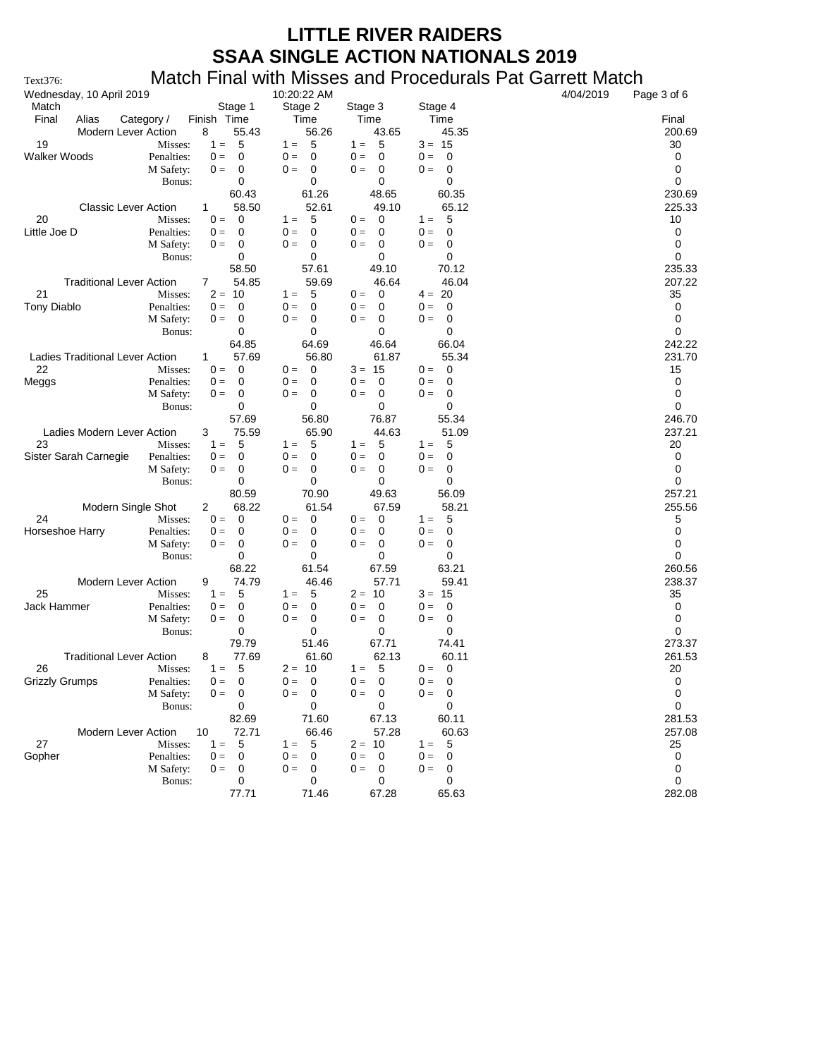| Wednesday, 10 April 2019                                               | 10:20:22 AM                            |                              |                                       | 4/04/2019 | Page 3 of 6  |
|------------------------------------------------------------------------|----------------------------------------|------------------------------|---------------------------------------|-----------|--------------|
| Match                                                                  | Stage 1<br>Stage 2                     | Stage 3                      | Stage 4                               |           |              |
| Final<br>Alias<br>Category /<br>Finish Time                            | Time                                   | Time                         | Time                                  |           | Final        |
| 8<br>Modern Lever Action                                               | 55.43<br>56.26                         | 43.65                        | 45.35                                 |           | 200.69       |
| 19<br>Misses:<br>$1 =$                                                 | 5<br>$1 =$<br>- 5                      | - 5<br>$1 =$                 | $3 = 15$                              |           | 30           |
| Walker Woods<br>Penalties:<br>$0 =$<br>M Safety:<br>$0 =$              | 0<br>$0 =$<br>0<br>$0 =$<br>0<br>0     | $0 =$<br>0<br>$0 =$<br>0     | $0 =$<br>0<br>$0 =$<br>0              |           | 0<br>0       |
| Bonus:                                                                 | 0<br>0                                 | 0                            | 0                                     |           | 0            |
|                                                                        | 60.43<br>61.26                         | 48.65                        | 60.35                                 |           | 230.69       |
| <b>Classic Lever Action</b><br>1                                       | 58.50<br>52.61                         | 49.10                        | 65.12                                 |           | 225.33       |
| 20<br>Misses:<br>$0 =$                                                 | 5<br>0<br>$1 =$                        | 0<br>$0 =$                   | 5<br>$1 =$                            |           | 10           |
| Little Joe D<br>Penalties:<br>$0 =$                                    | 0<br>$0 =$<br>0                        | $0 =$<br>0                   | $0 =$<br>0                            |           | 0            |
| M Safety:<br>$0 =$                                                     | 0<br>0<br>$0 =$                        | 0<br>$0 =$                   | $0 =$<br>0                            |           | 0            |
| Bonus:                                                                 | 0<br>0                                 | 0                            | 0                                     |           | 0            |
|                                                                        | 57.61<br>58.50                         | 49.10                        | 70.12                                 |           | 235.33       |
| <b>Traditional Lever Action</b><br>7                                   | 54.85<br>59.69                         | 46.64                        | 46.04                                 |           | 207.22       |
| 21<br>Misses:                                                          | 5<br>$2 = 10$<br>$1 =$<br>$\mathbf 0$  | $0 =$<br>0                   | $4 = 20$                              |           | 35           |
| <b>Tony Diablo</b><br>Penalties:<br>$0 =$<br>M Safety:<br>$0 =$        | $0 =$<br>0<br>0<br>$0 =$<br>0          | $0 =$<br>0<br>$0 =$<br>0     | $0 =$<br>0<br>$0 =$<br>0              |           | 0<br>0       |
| Bonus:                                                                 | 0<br>0                                 | 0                            | 0                                     |           | 0            |
|                                                                        | 64.85<br>64.69                         | 46.64                        | 66.04                                 |           | 242.22       |
| Ladies Traditional Lever Action<br>1.                                  | 57.69<br>56.80                         | 61.87                        | 55.34                                 |           | 231.70       |
| 22<br>Misses:<br>$0 =$                                                 | 0<br>$0 =$<br>0                        | $3 = 15$                     | $0 =$<br>$\overline{\mathbf{0}}$      |           | 15           |
| Penalties:<br>Meggs<br>$0 =$                                           | 0<br>$0 =$<br>0                        | $0 =$<br>0                   | $0 =$<br>0                            |           | 0            |
| M Safety:<br>$0 =$                                                     | $0 =$<br>0<br>0                        | $0 =$<br>0                   | $0 =$<br>0                            |           | 0            |
| Bonus:                                                                 | 0<br>0                                 | 0                            | 0                                     |           | 0            |
|                                                                        | 57.69<br>56.80                         | 76.87                        | 55.34                                 |           | 246.70       |
| Ladies Modern Lever Action<br>3                                        | 75.59<br>65.90                         | 44.63                        | 51.09                                 |           | 237.21       |
| 23<br>$1 =$<br>Misses:<br>Sister Sarah Carnegie<br>Penalties:<br>$0 =$ | 5<br>$1 =$<br>5<br>0<br>$0 =$<br>0     | 5<br>$1 =$<br>$0 =$<br>0     | $1 =$<br>5<br>$0 =$<br>0              |           | 20<br>0      |
| M Safety:<br>$0 =$                                                     | $0 =$<br>0<br>0                        | 0<br>$0 =$                   | $0 =$<br>0                            |           | 0            |
| Bonus:                                                                 | 0<br>0                                 | 0                            | 0                                     |           | 0            |
|                                                                        | 80.59<br>70.90                         | 49.63                        | 56.09                                 |           | 257.21       |
| Modern Single Shot<br>2                                                | 68.22<br>61.54                         | 67.59                        | 58.21                                 |           | 255.56       |
| 24<br>Misses:<br>$0 =$                                                 | 0<br>$0 =$<br>0                        | $0 =$<br>0                   | $1 =$<br>5                            |           | 5            |
| Horseshoe Harry<br>Penalties:<br>$0 =$                                 | 0<br>$0 =$<br>0                        | $0 =$<br>0                   | $0 =$<br>0                            |           | 0            |
| M Safety:<br>$0 =$                                                     | 0<br>$0 =$<br>0                        | $0 =$<br>0                   | $0 =$<br>0                            |           | 0            |
| Bonus:                                                                 | 0<br>0                                 | 0                            | 0                                     |           | 0            |
|                                                                        | 61.54<br>68.22                         | 67.59                        | 63.21                                 |           | 260.56       |
| Modern Lever Action<br>9<br>25<br>$1 =$<br>Misses:                     | 74.79<br>46.46<br>5<br>- 5<br>$1 =$    | 57.71<br>$2 = 10$            | 59.41<br>$3 = 15$                     |           | 238.37<br>35 |
| Jack Hammer<br>Penalties:<br>$0 =$                                     | $0 =$<br>0<br>0                        | $0 =$<br>0                   | $0 =$<br>0                            |           | 0            |
| M Safety:<br>$0 =$                                                     | 0<br>0<br>$0 =$                        | 0<br>$0 =$                   | 0<br>$0 =$                            |           | 0            |
| Bonus:                                                                 | 0<br>0                                 | 0                            | 0                                     |           | 0            |
|                                                                        | 79.79<br>51.46                         | 67.71                        | 74.41                                 |           | 273.37       |
| <b>Traditional Lever Action</b><br>8                                   | 77.69<br>61.60                         | 62.13                        | 60.11                                 |           | 261.53       |
| 26<br>$1 =$<br>Misses:                                                 | 5<br>$2 = 10$                          | 5<br>$1 =$                   | $0 = 0$                               |           | 20           |
| <b>Grizzly Grumps</b><br>$0 =$<br>Penalties:                           | 0<br>$0 =$<br>0                        | $0 =$<br>0                   | $0 =$<br>0                            |           | 0            |
| M Safety:<br>$0 =$                                                     | $0 =$<br>0<br>$\overline{0}$<br>0<br>0 | $0 =$<br>$\overline{0}$<br>0 | $\mathbf{0} =$<br>$\overline{0}$<br>0 |           | 0<br>0       |
| Bonus:                                                                 | 71.60<br>82.69                         | 67.13                        | 60.11                                 |           | 281.53       |
| <b>Modern Lever Action</b><br>10                                       | 72.71<br>66.46                         | 57.28                        | 60.63                                 |           | 257.08       |
| 27<br>Misses:<br>$1 =$                                                 | 5<br>- 5<br>$1 =$                      | $2 = 10$                     | 5<br>$1 =$                            |           | 25           |
| Penalties:<br>Gopher<br>$0 =$                                          | $0 =$<br>0<br>0                        | $0 =$<br>$\overline{0}$      | $0 =$<br>$\overline{0}$               |           | 0            |
| M Safety:<br>$0 =$                                                     | $0 =$<br>0<br>0                        | $0 =$<br>0                   | $0 =$<br>0                            |           | 0            |
| Bonus:                                                                 | 0<br>0                                 | 0                            | 0                                     |           | 0            |
|                                                                        | 71.46<br>77.71                         | 67.28                        | 65.63                                 |           | 282.08       |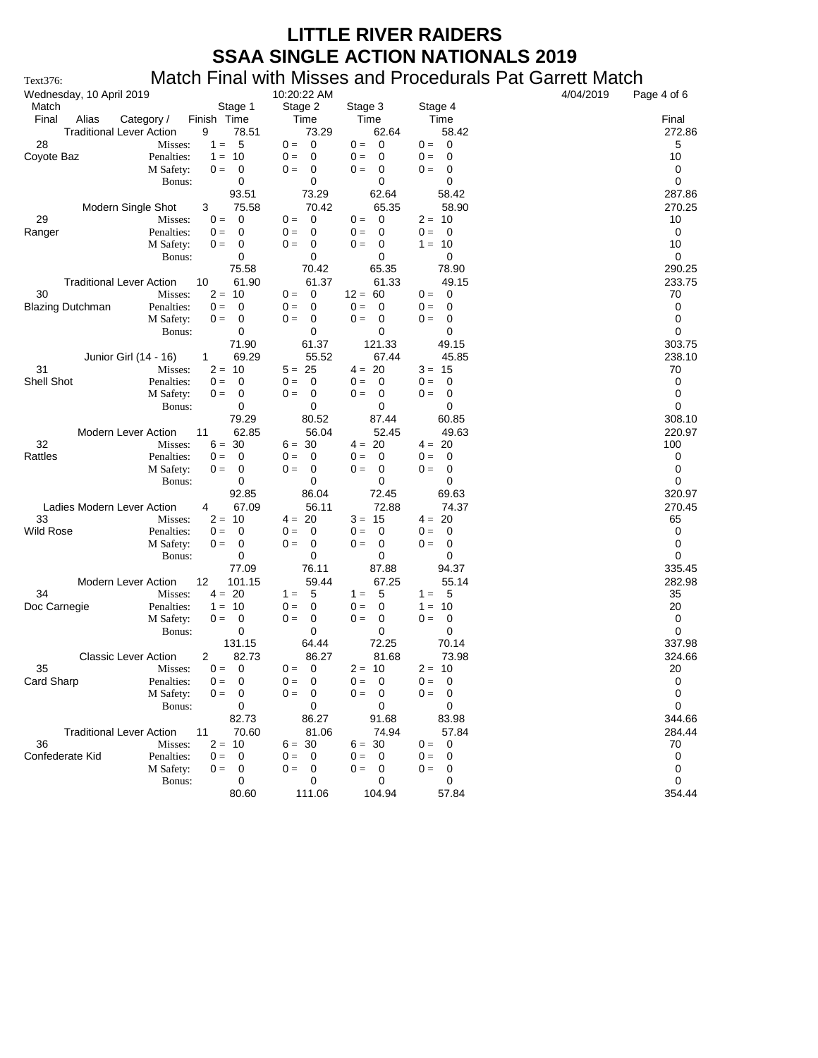| Wednesday, 10 April 2019                             |                | 10:20:22 AM                                                            |                                                |                                                 | 4/04/2019 | Page 4 of 6      |
|------------------------------------------------------|----------------|------------------------------------------------------------------------|------------------------------------------------|-------------------------------------------------|-----------|------------------|
| Match                                                | Stage 1        | Stage 2                                                                | Stage 3                                        | Stage 4                                         |           |                  |
| Final<br>Alias<br>Finish Time<br>Category /          |                | Time                                                                   | Time                                           | Time                                            |           | Final            |
| <b>Traditional Lever Action</b><br>9                 | 78.51          | 73.29                                                                  | 62.64                                          | 58.42                                           |           | 272.86           |
| 28<br>$1 =$<br>Misses:                               | 5              | $0 = 0$                                                                | $0 = 0$                                        | $0 = 0$                                         |           | 5                |
| Coyote Baz<br>Penalties:<br>$1 =$                    | - 10           | $0 =$<br>0                                                             | $0 =$<br>0                                     | $0 =$<br>0                                      |           | 10               |
| M Safety:<br>$0 =$                                   | 0              | $0 =$<br>0                                                             | $0 =$<br>0                                     | $0 =$<br>0                                      |           | 0                |
| Bonus:                                               | 0              | 0                                                                      | 0                                              | 0                                               |           | 0                |
|                                                      | 93.51<br>75.58 | 73.29<br>70.42                                                         | 62.64<br>65.35                                 | 58.42<br>58.90                                  |           | 287.86<br>270.25 |
| Modern Single Shot<br>3<br>29<br>$0 =$<br>Misses:    | 0              | $\overline{\mathbf{0}}$<br>$0 =$                                       | $0 =$<br>0                                     | $2 = 10$                                        |           | 10               |
| Penalties:<br>$0 =$<br>Ranger                        | 0              | $0 =$<br>0                                                             | 0<br>$0 =$                                     | $\overline{\phantom{0}}$<br>$0 =$               |           | 0                |
| $0 =$<br>M Safety:                                   | 0              | $0 =$<br>$\overline{\mathbf{0}}$                                       | $0 =$<br>0                                     | $1 = 10$                                        |           | 10               |
| Bonus:                                               | 0              | 0                                                                      | 0                                              | 0                                               |           | 0                |
|                                                      | 75.58          | 70.42                                                                  | 65.35                                          | 78.90                                           |           | 290.25           |
| <b>Traditional Lever Action</b><br>10                | 61.90          | 61.37                                                                  | 61.33                                          | 49.15                                           |           | 233.75           |
| 30<br>Misses:                                        | $2 = 10$       | $\overline{\mathbf{0}}$<br>$0 =$                                       | $12 = 60$                                      | $0 = 0$                                         |           | 70               |
| <b>Blazing Dutchman</b><br>Penalties:<br>$0 =$       | 0              | 0<br>$0 =$                                                             | $0 =$<br>0                                     | $0 =$<br>0                                      |           | 0                |
| M Safety:                                            | 0<br>$0 =$     | $0 =$<br>0                                                             | $0 =$<br>0                                     | $0 =$<br>0                                      |           | 0                |
| Bonus:                                               | 0              | 0                                                                      | 0                                              | 0                                               |           | 0                |
|                                                      | 71.90          | 61.37                                                                  | 121.33                                         | 49.15                                           |           | 303.75           |
| Junior Girl (14 - 16)<br>$\mathbf{1}$                | 69.29          | 55.52                                                                  | 67.44                                          | 45.85                                           |           | 238.10           |
| 31<br>Misses:                                        | $2 = 10$       | $5 = 25$                                                               | $4 = 20$                                       | $3 = 15$                                        |           | 70               |
| Shell Shot<br>Penalties:<br>$0 =$                    | 0              | $0 =$<br>0                                                             | $0 =$<br>0                                     | $0 =$<br>0                                      |           | 0                |
| M Safety:<br>$0 =$                                   | 0              | $\overline{\phantom{0}}$<br>$0 =$                                      | 0<br>$0 =$                                     | 0<br>$0 =$                                      |           | 0                |
| Bonus:                                               | 0              | 0                                                                      | 0                                              | 0                                               |           | 0                |
|                                                      | 79.29          | 80.52                                                                  | 87.44                                          | 60.85                                           |           | 308.10           |
| <b>Modern Lever Action</b><br>11                     | 62.85          | 56.04                                                                  | 52.45                                          | 49.63                                           |           | 220.97           |
| 32<br>Misses:                                        | $6 = 30$       | $6 = 30$                                                               | $4 = 20$                                       | $4 = 20$                                        |           | 100              |
| Rattles<br>Penalties:<br>$0 =$<br>M Safety:<br>$0 =$ | 0<br>0         | $0 =$<br>$\overline{\phantom{0}}$<br>$0 =$<br>$\overline{\phantom{0}}$ | $0 =$<br>$\overline{\mathbf{0}}$<br>$0 =$<br>0 | $\overline{\phantom{0}}$<br>$0 =$<br>$0 =$<br>0 |           | 0<br>0           |
| Bonus:                                               | 0              | 0                                                                      | 0                                              | 0                                               |           | 0                |
|                                                      | 92.85          | 86.04                                                                  | 72.45                                          | 69.63                                           |           | 320.97           |
| Ladies Modern Lever Action<br>4                      | 67.09          | 56.11                                                                  | 72.88                                          | 74.37                                           |           | 270.45           |
| 33<br>Misses:                                        | $2 = 10$       | $4 = 20$                                                               | $3 = 15$                                       | $4 = 20$                                        |           | 65               |
| <b>Wild Rose</b><br>Penalties:<br>$0 =$              | 0              | 0<br>$0 =$                                                             | $0 =$<br>0                                     | $0 =$<br>0                                      |           | 0                |
| M Safety:<br>$0 =$                                   | 0              | $0 =$<br>- 0                                                           | $0 =$<br>0                                     | $0 =$<br>0                                      |           | 0                |
| Bonus:                                               | 0              | 0                                                                      | 0                                              | 0                                               |           | 0                |
|                                                      | 77.09          | 76.11                                                                  | 87.88                                          | 94.37                                           |           | 335.45           |
| Modern Lever Action<br>12                            | 101.15         | 59.44                                                                  | 67.25                                          | 55.14                                           |           | 282.98           |
| 34<br>Misses:                                        | $4 = 20$       | 5<br>$1 =$                                                             | 5<br>$1 =$                                     | $1 = 5$                                         |           | 35               |
| Penalties:<br>Doc Carnegie<br>$1 =$                  | - 10           | $0 =$<br>0                                                             | $0 =$<br>0                                     | $1 = 10$                                        |           | 20               |
| M Safety:<br>$0 =$                                   | 0              | $0 =$<br>0                                                             | $0 =$<br>0                                     | $0 =$<br>0                                      |           | 0                |
| Bonus:                                               | 0              | 0                                                                      | 0                                              | 0                                               |           | 0                |
|                                                      | 131.15         | 64.44                                                                  | 72.25                                          | 70.14                                           |           | 337.98           |
| <b>Classic Lever Action</b><br>2                     | 82.73          | 86.27                                                                  | 81.68                                          | 73.98                                           |           | 324.66           |
| 35<br>$0 =$<br>Misses:<br><b>Card Sharp</b>          | 0              | $0 = 0$                                                                | $2 = 10$                                       | $2 = 10$<br>$0 =$<br>0                          |           | 20               |
| Penalties:<br>$0 =$<br>M Safety:                     | 0<br>$0 = 0$   | $0 =$<br>0<br>$0 = 0$                                                  | $0 =$<br>0<br>$0 =$<br>$\overline{\mathbf{0}}$ | $0 = 0$                                         |           | 0<br>$\pmb{0}$   |
| Bonus:                                               | 0              | 0                                                                      | 0                                              | 0                                               |           | $\mathbf 0$      |
|                                                      | 82.73          | 86.27                                                                  | 91.68                                          | 83.98                                           |           | 344.66           |
| <b>Traditional Lever Action</b><br>11                | 70.60          | 81.06                                                                  | 74.94                                          | 57.84                                           |           | 284.44           |
| 36<br>Misses:                                        | $2 = 10$       | $6 = 30$                                                               | $6 = 30$                                       | $0 = 0$                                         |           | 70               |
| Confederate Kid<br>Penalties:<br>$0 =$               | 0              | $0 =$<br>$\overline{\phantom{0}}$                                      | $0 =$<br>$\overline{0}$                        | $0 =$<br>0                                      |           | 0                |
| M Safety:<br>$0 =$                                   | 0              | $0 =$<br>- 0                                                           | $0 =$<br>0                                     | $0 =$<br>0                                      |           | 0                |
| Bonus:                                               | 0              | 0                                                                      | 0                                              | 0                                               |           | 0                |
|                                                      | 80.60          | 111.06                                                                 | 104.94                                         | 57.84                                           |           | 354.44           |